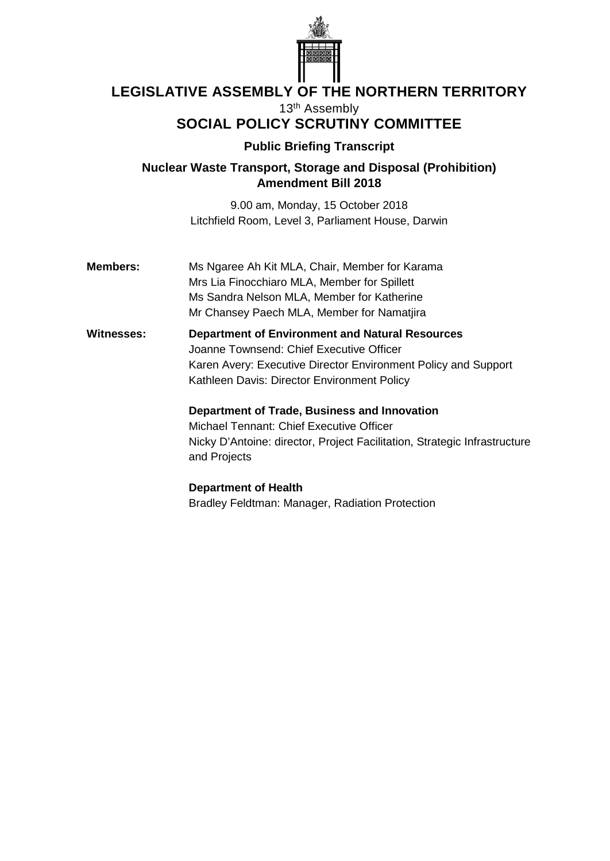

# **LEGISLATIVE ASSEMBLY OF THE NORTHERN TERRITORY**

13<sup>th</sup> Assembly

## **SOCIAL POLICY SCRUTINY COMMITTEE**

### **Public Briefing Transcript**

**Nuclear Waste Transport, Storage and Disposal (Prohibition) Amendment Bill 2018**

> 9.00 am, Monday, 15 October 2018 Litchfield Room, Level 3, Parliament House, Darwin

**Members:** Ms Ngaree Ah Kit MLA, Chair, Member for Karama Mrs Lia Finocchiaro MLA, Member for Spillett Ms Sandra Nelson MLA, Member for Katherine Mr Chansey Paech MLA, Member for Namatjira

**Witnesses: Department of Environment and Natural Resources** Joanne Townsend: Chief Executive Officer Karen Avery: Executive Director Environment Policy and Support Kathleen Davis: Director Environment Policy

> **Department of Trade, Business and Innovation** Michael Tennant: Chief Executive Officer

Nicky D'Antoine: director, Project Facilitation, Strategic Infrastructure and Projects

**Department of Health** Bradley Feldtman: Manager, Radiation Protection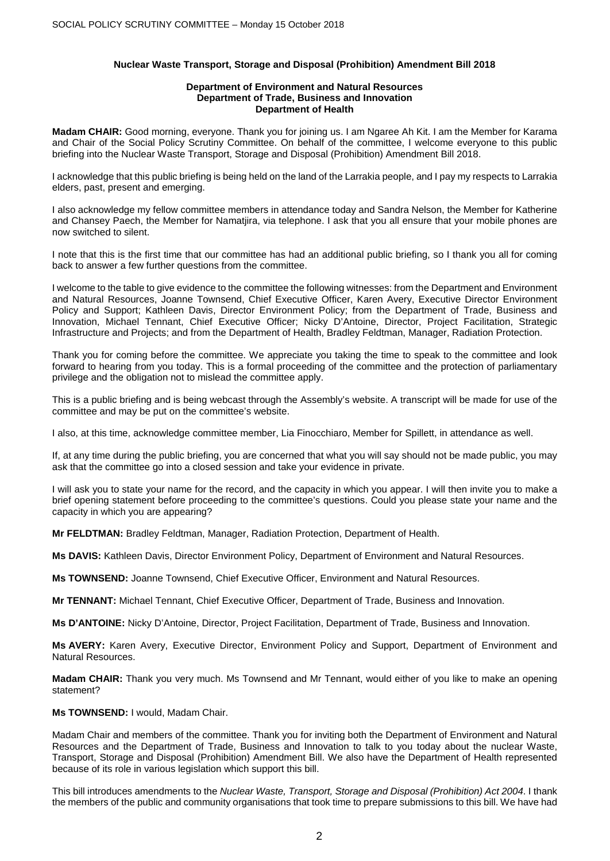#### **Nuclear Waste Transport, Storage and Disposal (Prohibition) Amendment Bill 2018**

#### **Department of Environment and Natural Resources Department of Trade, Business and Innovation Department of Health**

**Madam CHAIR:** Good morning, everyone. Thank you for joining us. I am Ngaree Ah Kit. I am the Member for Karama and Chair of the Social Policy Scrutiny Committee. On behalf of the committee, I welcome everyone to this public briefing into the Nuclear Waste Transport, Storage and Disposal (Prohibition) Amendment Bill 2018.

I acknowledge that this public briefing is being held on the land of the Larrakia people, and I pay my respects to Larrakia elders, past, present and emerging.

I also acknowledge my fellow committee members in attendance today and Sandra Nelson, the Member for Katherine and Chansey Paech, the Member for Namatjira, via telephone. I ask that you all ensure that your mobile phones are now switched to silent.

I note that this is the first time that our committee has had an additional public briefing, so I thank you all for coming back to answer a few further questions from the committee.

I welcome to the table to give evidence to the committee the following witnesses: from the Department and Environment and Natural Resources, Joanne Townsend, Chief Executive Officer, Karen Avery, Executive Director Environment Policy and Support; Kathleen Davis, Director Environment Policy; from the Department of Trade, Business and Innovation, Michael Tennant, Chief Executive Officer; Nicky D'Antoine, Director, Project Facilitation, Strategic Infrastructure and Projects; and from the Department of Health, Bradley Feldtman, Manager, Radiation Protection.

Thank you for coming before the committee. We appreciate you taking the time to speak to the committee and look forward to hearing from you today. This is a formal proceeding of the committee and the protection of parliamentary privilege and the obligation not to mislead the committee apply.

This is a public briefing and is being webcast through the Assembly's website. A transcript will be made for use of the committee and may be put on the committee's website.

I also, at this time, acknowledge committee member, Lia Finocchiaro, Member for Spillett, in attendance as well.

If, at any time during the public briefing, you are concerned that what you will say should not be made public, you may ask that the committee go into a closed session and take your evidence in private.

I will ask you to state your name for the record, and the capacity in which you appear. I will then invite you to make a brief opening statement before proceeding to the committee's questions. Could you please state your name and the capacity in which you are appearing?

**Mr FELDTMAN:** Bradley Feldtman, Manager, Radiation Protection, Department of Health.

**Ms DAVIS:** Kathleen Davis, Director Environment Policy, Department of Environment and Natural Resources.

**Ms TOWNSEND:** Joanne Townsend, Chief Executive Officer, Environment and Natural Resources.

**Mr TENNANT:** Michael Tennant, Chief Executive Officer, Department of Trade, Business and Innovation.

**Ms D'ANTOINE:** Nicky D'Antoine, Director, Project Facilitation, Department of Trade, Business and Innovation.

**Ms AVERY:** Karen Avery, Executive Director, Environment Policy and Support, Department of Environment and Natural Resources.

**Madam CHAIR:** Thank you very much. Ms Townsend and Mr Tennant, would either of you like to make an opening statement?

**Ms TOWNSEND:** I would, Madam Chair.

Madam Chair and members of the committee. Thank you for inviting both the Department of Environment and Natural Resources and the Department of Trade, Business and Innovation to talk to you today about the nuclear Waste, Transport, Storage and Disposal (Prohibition) Amendment Bill. We also have the Department of Health represented because of its role in various legislation which support this bill.

This bill introduces amendments to the *Nuclear Waste, Transport, Storage and Disposal (Prohibition) Act 2004*. I thank the members of the public and community organisations that took time to prepare submissions to this bill. We have had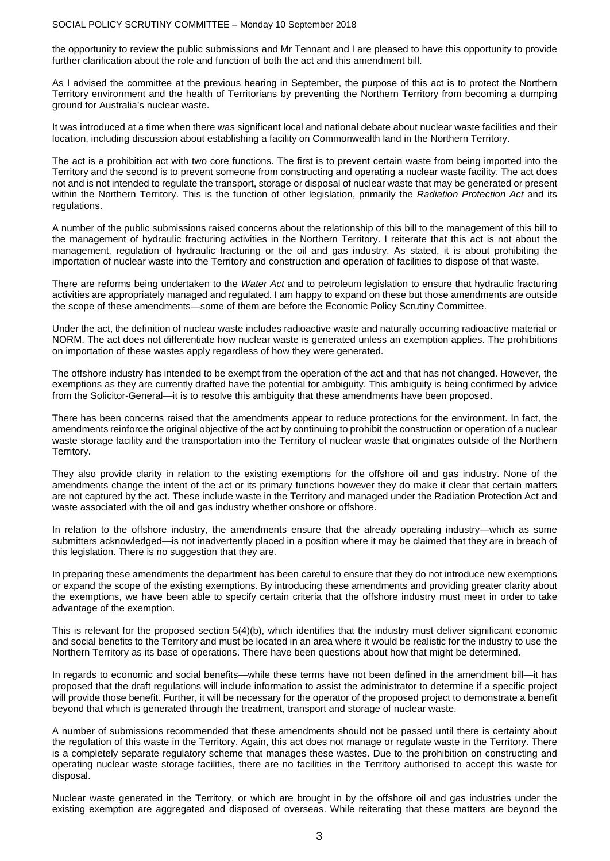the opportunity to review the public submissions and Mr Tennant and I are pleased to have this opportunity to provide further clarification about the role and function of both the act and this amendment bill.

As I advised the committee at the previous hearing in September, the purpose of this act is to protect the Northern Territory environment and the health of Territorians by preventing the Northern Territory from becoming a dumping ground for Australia's nuclear waste.

It was introduced at a time when there was significant local and national debate about nuclear waste facilities and their location, including discussion about establishing a facility on Commonwealth land in the Northern Territory.

The act is a prohibition act with two core functions. The first is to prevent certain waste from being imported into the Territory and the second is to prevent someone from constructing and operating a nuclear waste facility. The act does not and is not intended to regulate the transport, storage or disposal of nuclear waste that may be generated or present within the Northern Territory. This is the function of other legislation, primarily the *Radiation Protection Act* and its regulations.

A number of the public submissions raised concerns about the relationship of this bill to the management of this bill to the management of hydraulic fracturing activities in the Northern Territory. I reiterate that this act is not about the management, regulation of hydraulic fracturing or the oil and gas industry. As stated, it is about prohibiting the importation of nuclear waste into the Territory and construction and operation of facilities to dispose of that waste.

There are reforms being undertaken to the *Water Act* and to petroleum legislation to ensure that hydraulic fracturing activities are appropriately managed and regulated. I am happy to expand on these but those amendments are outside the scope of these amendments—some of them are before the Economic Policy Scrutiny Committee.

Under the act, the definition of nuclear waste includes radioactive waste and naturally occurring radioactive material or NORM. The act does not differentiate how nuclear waste is generated unless an exemption applies. The prohibitions on importation of these wastes apply regardless of how they were generated.

The offshore industry has intended to be exempt from the operation of the act and that has not changed. However, the exemptions as they are currently drafted have the potential for ambiguity. This ambiguity is being confirmed by advice from the Solicitor-General—it is to resolve this ambiguity that these amendments have been proposed.

There has been concerns raised that the amendments appear to reduce protections for the environment. In fact, the amendments reinforce the original objective of the act by continuing to prohibit the construction or operation of a nuclear waste storage facility and the transportation into the Territory of nuclear waste that originates outside of the Northern Territory.

They also provide clarity in relation to the existing exemptions for the offshore oil and gas industry. None of the amendments change the intent of the act or its primary functions however they do make it clear that certain matters are not captured by the act. These include waste in the Territory and managed under the Radiation Protection Act and waste associated with the oil and gas industry whether onshore or offshore.

In relation to the offshore industry, the amendments ensure that the already operating industry—which as some submitters acknowledged—is not inadvertently placed in a position where it may be claimed that they are in breach of this legislation. There is no suggestion that they are.

In preparing these amendments the department has been careful to ensure that they do not introduce new exemptions or expand the scope of the existing exemptions. By introducing these amendments and providing greater clarity about the exemptions, we have been able to specify certain criteria that the offshore industry must meet in order to take advantage of the exemption.

This is relevant for the proposed section 5(4)(b), which identifies that the industry must deliver significant economic and social benefits to the Territory and must be located in an area where it would be realistic for the industry to use the Northern Territory as its base of operations. There have been questions about how that might be determined.

In regards to economic and social benefits—while these terms have not been defined in the amendment bill—it has proposed that the draft regulations will include information to assist the administrator to determine if a specific project will provide those benefit. Further, it will be necessary for the operator of the proposed project to demonstrate a benefit beyond that which is generated through the treatment, transport and storage of nuclear waste.

A number of submissions recommended that these amendments should not be passed until there is certainty about the regulation of this waste in the Territory. Again, this act does not manage or regulate waste in the Territory. There is a completely separate regulatory scheme that manages these wastes. Due to the prohibition on constructing and operating nuclear waste storage facilities, there are no facilities in the Territory authorised to accept this waste for disposal.

Nuclear waste generated in the Territory, or which are brought in by the offshore oil and gas industries under the existing exemption are aggregated and disposed of overseas. While reiterating that these matters are beyond the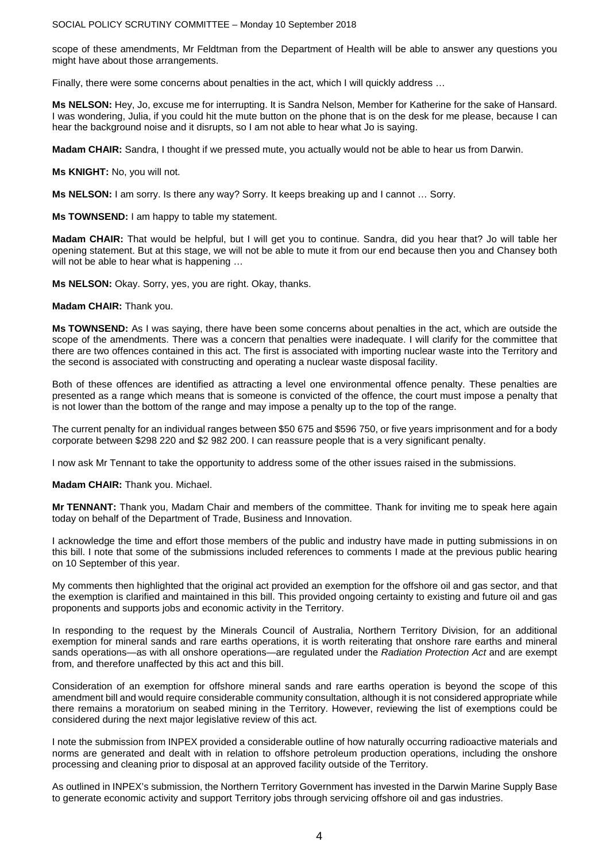scope of these amendments, Mr Feldtman from the Department of Health will be able to answer any questions you might have about those arrangements.

Finally, there were some concerns about penalties in the act, which I will quickly address …

**Ms NELSON:** Hey, Jo, excuse me for interrupting. It is Sandra Nelson, Member for Katherine for the sake of Hansard. I was wondering, Julia, if you could hit the mute button on the phone that is on the desk for me please, because I can hear the background noise and it disrupts, so I am not able to hear what Jo is saying.

**Madam CHAIR:** Sandra, I thought if we pressed mute, you actually would not be able to hear us from Darwin.

**Ms KNIGHT:** No, you will not.

**Ms NELSON:** I am sorry. Is there any way? Sorry. It keeps breaking up and I cannot … Sorry.

**Ms TOWNSEND:** I am happy to table my statement.

**Madam CHAIR:** That would be helpful, but I will get you to continue. Sandra, did you hear that? Jo will table her opening statement. But at this stage, we will not be able to mute it from our end because then you and Chansey both will not be able to hear what is happening ...

**Ms NELSON:** Okay. Sorry, yes, you are right. Okay, thanks.

**Madam CHAIR:** Thank you.

**Ms TOWNSEND:** As I was saying, there have been some concerns about penalties in the act, which are outside the scope of the amendments. There was a concern that penalties were inadequate. I will clarify for the committee that there are two offences contained in this act. The first is associated with importing nuclear waste into the Territory and the second is associated with constructing and operating a nuclear waste disposal facility.

Both of these offences are identified as attracting a level one environmental offence penalty. These penalties are presented as a range which means that is someone is convicted of the offence, the court must impose a penalty that is not lower than the bottom of the range and may impose a penalty up to the top of the range.

The current penalty for an individual ranges between \$50 675 and \$596 750, or five years imprisonment and for a body corporate between \$298 220 and \$2 982 200. I can reassure people that is a very significant penalty.

I now ask Mr Tennant to take the opportunity to address some of the other issues raised in the submissions.

**Madam CHAIR:** Thank you. Michael.

**Mr TENNANT:** Thank you, Madam Chair and members of the committee. Thank for inviting me to speak here again today on behalf of the Department of Trade, Business and Innovation.

I acknowledge the time and effort those members of the public and industry have made in putting submissions in on this bill. I note that some of the submissions included references to comments I made at the previous public hearing on 10 September of this year.

My comments then highlighted that the original act provided an exemption for the offshore oil and gas sector, and that the exemption is clarified and maintained in this bill. This provided ongoing certainty to existing and future oil and gas proponents and supports jobs and economic activity in the Territory.

In responding to the request by the Minerals Council of Australia, Northern Territory Division, for an additional exemption for mineral sands and rare earths operations, it is worth reiterating that onshore rare earths and mineral sands operations—as with all onshore operations—are regulated under the *Radiation Protection Act* and are exempt from, and therefore unaffected by this act and this bill.

Consideration of an exemption for offshore mineral sands and rare earths operation is beyond the scope of this amendment bill and would require considerable community consultation, although it is not considered appropriate while there remains a moratorium on seabed mining in the Territory. However, reviewing the list of exemptions could be considered during the next major legislative review of this act.

I note the submission from INPEX provided a considerable outline of how naturally occurring radioactive materials and norms are generated and dealt with in relation to offshore petroleum production operations, including the onshore processing and cleaning prior to disposal at an approved facility outside of the Territory.

As outlined in INPEX's submission, the Northern Territory Government has invested in the Darwin Marine Supply Base to generate economic activity and support Territory jobs through servicing offshore oil and gas industries.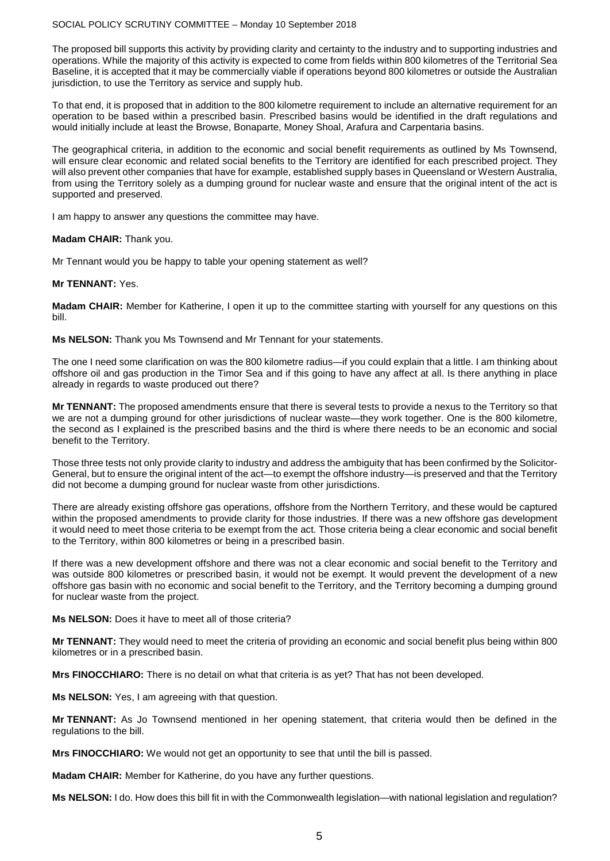The proposed bill supports this activity by providing clarity and certainty to the industry and to supporting industries and operations. While the majority of this activity is expected to come from fields within 800 kilometres of the Territorial Sea Baseline, it is accepted that it may be commercially viable if operations beyond 800 kilometres or outside the Australian jurisdiction, to use the Territory as service and supply hub.

To that end, it is proposed that in addition to the 800 kilometre requirement to include an alternative requirement for an operation to be based within a prescribed basin. Prescribed basins would be identified in the draft regulations and would initially include at least the Browse, Bonaparte, Money Shoal, Arafura and Carpentaria basins.

The geographical criteria, in addition to the economic and social benefit requirements as outlined by Ms Townsend, will ensure clear economic and related social benefits to the Territory are identified for each prescribed project. They will also prevent other companies that have for example, established supply bases in Queensland or Western Australia, from using the Territory solely as a dumping ground for nuclear waste and ensure that the original intent of the act is supported and preserved.

I am happy to answer any questions the committee may have.

#### **Madam CHAIR:** Thank you.

Mr Tennant would you be happy to table your opening statement as well?

#### **Mr TENNANT:** Yes.

**Madam CHAIR:** Member for Katherine, I open it up to the committee starting with yourself for any questions on this bill.

**Ms NELSON:** Thank you Ms Townsend and Mr Tennant for your statements.

The one I need some clarification on was the 800 kilometre radius—if you could explain that a little. I am thinking about offshore oil and gas production in the Timor Sea and if this going to have any affect at all. Is there anything in place already in regards to waste produced out there?

**Mr TENNANT:** The proposed amendments ensure that there is several tests to provide a nexus to the Territory so that we are not a dumping ground for other jurisdictions of nuclear waste—they work together. One is the 800 kilometre, the second as I explained is the prescribed basins and the third is where there needs to be an economic and social benefit to the Territory.

Those three tests not only provide clarity to industry and address the ambiguity that has been confirmed by the Solicitor-General, but to ensure the original intent of the act—to exempt the offshore industry—is preserved and that the Territory did not become a dumping ground for nuclear waste from other jurisdictions.

There are already existing offshore gas operations, offshore from the Northern Territory, and these would be captured within the proposed amendments to provide clarity for those industries. If there was a new offshore gas development it would need to meet those criteria to be exempt from the act. Those criteria being a clear economic and social benefit to the Territory, within 800 kilometres or being in a prescribed basin.

If there was a new development offshore and there was not a clear economic and social benefit to the Territory and was outside 800 kilometres or prescribed basin, it would not be exempt. It would prevent the development of a new offshore gas basin with no economic and social benefit to the Territory, and the Territory becoming a dumping ground for nuclear waste from the project.

**Ms NELSON:** Does it have to meet all of those criteria?

**Mr TENNANT:** They would need to meet the criteria of providing an economic and social benefit plus being within 800 kilometres or in a prescribed basin.

**Mrs FINOCCHIARO:** There is no detail on what that criteria is as yet? That has not been developed.

**Ms NELSON:** Yes, I am agreeing with that question.

**Mr TENNANT:** As Jo Townsend mentioned in her opening statement, that criteria would then be defined in the regulations to the bill.

**Mrs FINOCCHIARO:** We would not get an opportunity to see that until the bill is passed.

**Madam CHAIR:** Member for Katherine, do you have any further questions.

**Ms NELSON:** I do. How does this bill fit in with the Commonwealth legislation—with national legislation and regulation?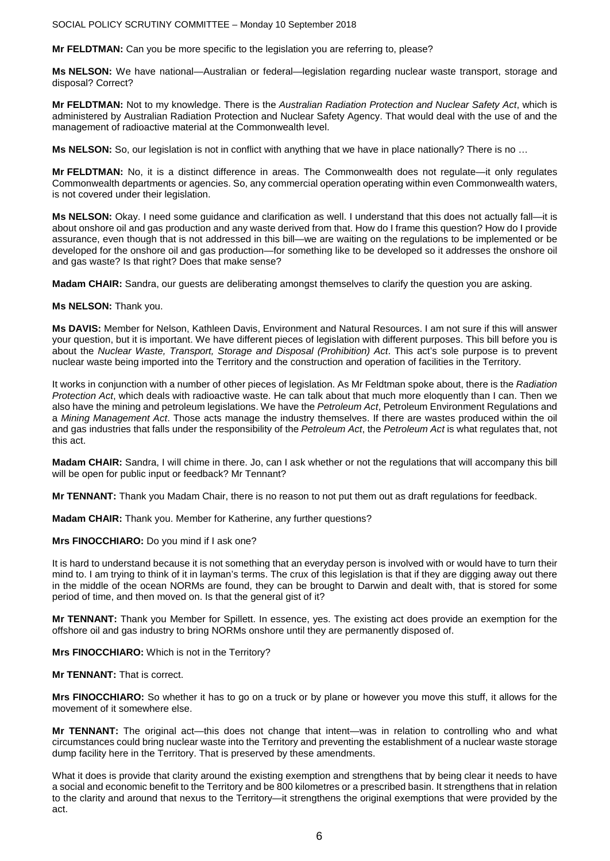**Mr FELDTMAN:** Can you be more specific to the legislation you are referring to, please?

**Ms NELSON:** We have national—Australian or federal—legislation regarding nuclear waste transport, storage and disposal? Correct?

**Mr FELDTMAN:** Not to my knowledge. There is the *Australian Radiation Protection and Nuclear Safety Act*, which is administered by Australian Radiation Protection and Nuclear Safety Agency. That would deal with the use of and the management of radioactive material at the Commonwealth level.

**Ms NELSON:** So, our legislation is not in conflict with anything that we have in place nationally? There is no …

**Mr FELDTMAN:** No, it is a distinct difference in areas. The Commonwealth does not regulate—it only regulates Commonwealth departments or agencies. So, any commercial operation operating within even Commonwealth waters, is not covered under their legislation.

**Ms NELSON:** Okay. I need some guidance and clarification as well. I understand that this does not actually fall—it is about onshore oil and gas production and any waste derived from that. How do I frame this question? How do I provide assurance, even though that is not addressed in this bill—we are waiting on the regulations to be implemented or be developed for the onshore oil and gas production—for something like to be developed so it addresses the onshore oil and gas waste? Is that right? Does that make sense?

**Madam CHAIR:** Sandra, our guests are deliberating amongst themselves to clarify the question you are asking.

#### **Ms NELSON:** Thank you.

**Ms DAVIS:** Member for Nelson, Kathleen Davis, Environment and Natural Resources. I am not sure if this will answer your question, but it is important. We have different pieces of legislation with different purposes. This bill before you is about the *Nuclear Waste, Transport, Storage and Disposal (Prohibition) Act*. This act's sole purpose is to prevent nuclear waste being imported into the Territory and the construction and operation of facilities in the Territory.

It works in conjunction with a number of other pieces of legislation. As Mr Feldtman spoke about, there is the *Radiation Protection Act*, which deals with radioactive waste. He can talk about that much more eloquently than I can. Then we also have the mining and petroleum legislations. We have the *Petroleum Act*, Petroleum Environment Regulations and a *Mining Management Act*. Those acts manage the industry themselves. If there are wastes produced within the oil and gas industries that falls under the responsibility of the *Petroleum Act*, the *Petroleum Act* is what regulates that, not this act.

**Madam CHAIR:** Sandra, I will chime in there. Jo, can I ask whether or not the regulations that will accompany this bill will be open for public input or feedback? Mr Tennant?

**Mr TENNANT:** Thank you Madam Chair, there is no reason to not put them out as draft regulations for feedback.

**Madam CHAIR:** Thank you. Member for Katherine, any further questions?

#### **Mrs FINOCCHIARO:** Do you mind if I ask one?

It is hard to understand because it is not something that an everyday person is involved with or would have to turn their mind to. I am trying to think of it in layman's terms. The crux of this legislation is that if they are digging away out there in the middle of the ocean NORMs are found, they can be brought to Darwin and dealt with, that is stored for some period of time, and then moved on. Is that the general gist of it?

**Mr TENNANT:** Thank you Member for Spillett. In essence, yes. The existing act does provide an exemption for the offshore oil and gas industry to bring NORMs onshore until they are permanently disposed of.

**Mrs FINOCCHIARO:** Which is not in the Territory?

#### **Mr TENNANT:** That is correct.

**Mrs FINOCCHIARO:** So whether it has to go on a truck or by plane or however you move this stuff, it allows for the movement of it somewhere else.

**Mr TENNANT:** The original act—this does not change that intent—was in relation to controlling who and what circumstances could bring nuclear waste into the Territory and preventing the establishment of a nuclear waste storage dump facility here in the Territory. That is preserved by these amendments.

What it does is provide that clarity around the existing exemption and strengthens that by being clear it needs to have a social and economic benefit to the Territory and be 800 kilometres or a prescribed basin. It strengthens that in relation to the clarity and around that nexus to the Territory—it strengthens the original exemptions that were provided by the act.